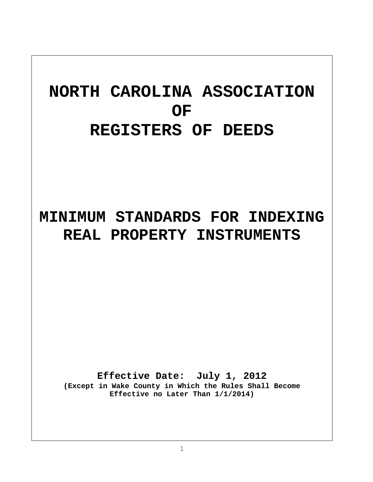# **NORTH CAROLINA ASSOCIATION OF REGISTERS OF DEEDS**

## **MINIMUM STANDARDS FOR INDEXING REAL PROPERTY INSTRUMENTS**

**Effective Date: July 1, 2012 (Except in Wake County in Which the Rules Shall Become Effective no Later Than 1/1/2014)**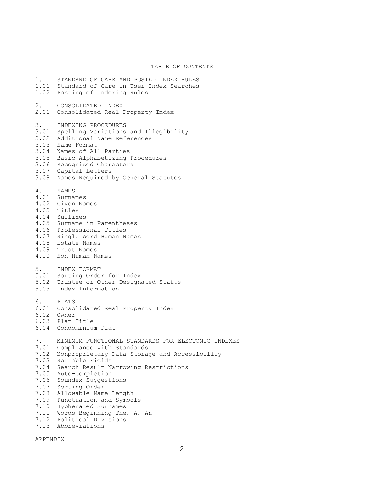#### TABLE OF CONTENTS

1. STANDARD OF CARE AND POSTED INDEX RULES 1.01 Standard of Care in User Index Searches 1.02 Posting of Indexing Rules 2. CONSOLIDATED INDEX 2.01 Consolidated Real Property Index 3. INDEXING PROCEDURES 3.01 Spelling Variations and Illegibility 3.02 Additional Name References 3.03 Name Format 3.04 Names of All Parties 3.05 Basic Alphabetizing Procedures 3.06 Recognized Characters 3.07 Capital Letters 3.08 Names Required by General Statutes 4. NAMES 4.01 Surnames 4.02 Given Names 4.03 Titles 4.04 Suffixes 4.05 Surname in Parentheses 4.06 Professional Titles 4.07 Single Word Human Names 4.08 Estate Names 4.09 Trust Names 4.10 Non-Human Names 5. INDEX FORMAT 5.01 Sorting Order for Index 5.02 Trustee or Other Designated Status 5.03 Index Information 6. PLATS 6.01 Consolidated Real Property Index 6.02 Owner 6.03 Plat Title 6.04 Condominium Plat 7. MINIMUM FUNCTIONAL STANDARDS FOR ELECTONIC INDEXES 7.01 Compliance with Standards 7.02 Nonproprietary Data Storage and Accessibility 7.03 Sortable Fields 7.04 Search Result Narrowing Restrictions 7.05 Auto-Completion 7.06 Soundex Suggestions 7.07 Sorting Order 7.08 Allowable Name Length 7.09 Punctuation and Symbols 7.10 Hyphenated Surnames 7.11 Words Beginning The, A, An 7.12 Political Divisions 7.13 Abbreviations

APPENDIX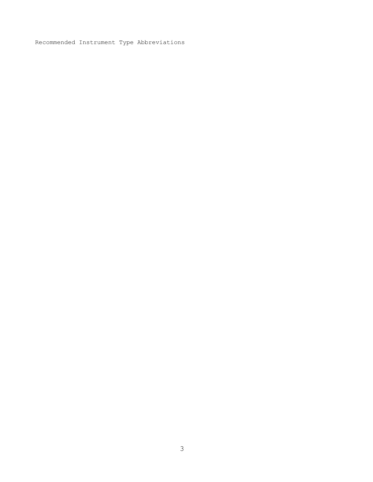Recommended Instrument Type Abbreviations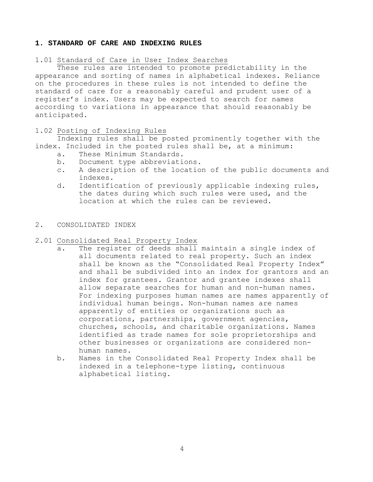#### **1. STANDARD OF CARE AND INDEXING RULES**

#### 1.01 Standard of Care in User Index Searches

These rules are intended to promote predictability in the appearance and sorting of names in alphabetical indexes. Reliance on the procedures in these rules is not intended to define the standard of care for a reasonably careful and prudent user of a register's index. Users may be expected to search for names according to variations in appearance that should reasonably be anticipated.

## 1.02 Posting of Indexing Rules

 Indexing rules shall be posted prominently together with the index. Included in the posted rules shall be, at a minimum:

- a. These Minimum Standards.
- b. Document type abbreviations.
- c. A description of the location of the public documents and indexes.
- d. Identification of previously applicable indexing rules, the dates during which such rules were used, and the location at which the rules can be reviewed.

## 2. CONSOLIDATED INDEX

## 2.01 Consolidated Real Property Index

- a. The register of deeds shall maintain a single index of all documents related to real property. Such an index shall be known as the "Consolidated Real Property Index" and shall be subdivided into an index for grantors and an index for grantees. Grantor and grantee indexes shall allow separate searches for human and non-human names. For indexing purposes human names are names apparently of individual human beings. Non-human names are names apparently of entities or organizations such as corporations, partnerships, government agencies, churches, schools, and charitable organizations. Names identified as trade names for sole proprietorships and other businesses or organizations are considered nonhuman names.
- b. Names in the Consolidated Real Property Index shall be indexed in a telephone-type listing, continuous alphabetical listing.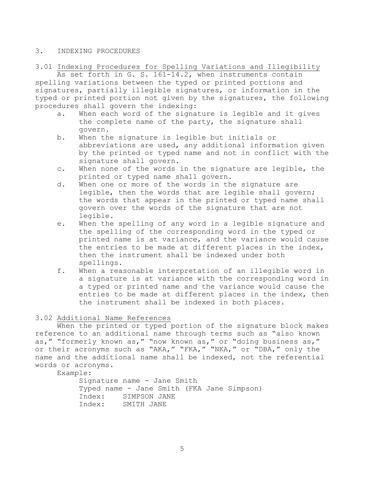## 3. INDEXING PROCEDURES

3.01 Indexing Procedures for Spelling Variations and Illegibility

As set forth in G. S. 161-14.2, when instruments contain spelling variations between the typed or printed portions and signatures, partially illegible signatures, or information in the typed or printed portion not given by the signatures, the following procedures shall govern the indexing:

- a. When each word of the signature is legible and it gives the complete name of the party, the signature shall govern.
- b. When the signature is legible but initials or abbreviations are used, any additional information given by the printed or typed name and not in conflict with the signature shall govern.
- c. When none of the words in the signature are legible, the printed or typed name shall govern.
- d. When one or more of the words in the signature are legible, then the words that are legible shall govern; the words that appear in the printed or typed name shall govern over the words of the signature that are not legible.
- e. When the spelling of any word in a legible signature and the spelling of the corresponding word in the typed or printed name is at variance, and the variance would cause the entries to be made at different places in the index, then the instrument shall be indexed under both spellings.
- f. When a reasonable interpretation of an illegible word in a signature is at variance with the corresponding word in a typed or printed name and the variance would cause the entries to be made at different places in the index, then the instrument shall be indexed in both places.

## 3.02 Additional Name References

When the printed or typed portion of the signature block makes reference to an additional name through terms such as "also known as," "formerly known as," "now known as," or "doing business as," or their acronyms such as "AKA," "FKA," "NKA," or "DBA," only the name and the additional name shall be indexed, not the referential words or acronyms.

Example:

Signature name - Jane Smith Typed name - Jane Smith (FKA Jane Simpson) Index: SIMPSON JANE Index: SMITH JANE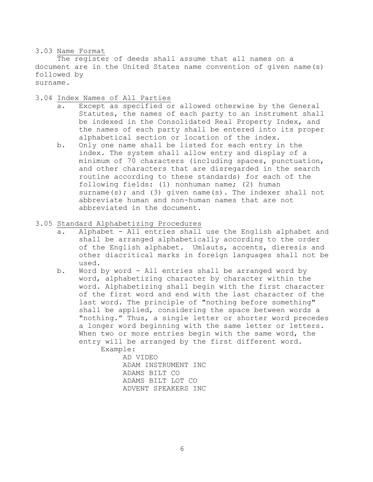## 3.03 Name Format

 The register of deeds shall assume that all names on a document are in the United States name convention of given name(s) followed by surname.

3.04 Index Names of All Parties

- a. Except as specified or allowed otherwise by the General Statutes, the names of each party to an instrument shall be indexed in the Consolidated Real Property Index, and the names of each party shall be entered into its proper alphabetical section or location of the index.
- b. Only one name shall be listed for each entry in the index. The system shall allow entry and display of a minimum of 70 characters (including spaces, punctuation, and other characters that are disregarded in the search routine according to these standards) for each of the following fields: (1) nonhuman name; (2) human surname(s); and (3) given name(s). The indexer shall not abbreviate human and non-human names that are not abbreviated in the document.
- 3.05 Standard Alphabetizing Procedures
	- a. Alphabet All entries shall use the English alphabet and shall be arranged alphabetically according to the order of the English alphabet. Umlauts, accents, dieresis and other diacritical marks in foreign languages shall not be used.
	- b. Word by word All entries shall be arranged word by word, alphabetizing character by character within the word. Alphabetizing shall begin with the first character of the first word and end with the last character of the last word. The principle of "nothing before something" shall be applied, considering the space between words a "nothing." Thus, a single letter or shorter word precedes a longer word beginning with the same letter or letters. When two or more entries begin with the same word, the entry will be arranged by the first different word. Example:

 AD VIDEO ADAM INSTRUMENT INC ADAMS BILT CO ADAMS BILT LOT CO ADVENT SPEAKERS INC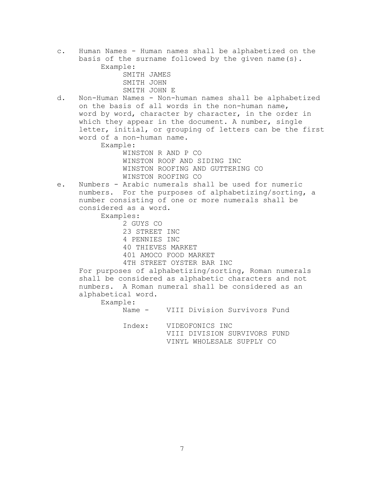c. Human Names - Human names shall be alphabetized on the basis of the surname followed by the given name(s). Example: SMITH JAMES SMITH JOHN SMITH JOHN E d. Non-Human Names - Non-human names shall be alphabetized on the basis of all words in the non-human name, word by word, character by character, in the order in which they appear in the document. A number, single letter, initial, or grouping of letters can be the first word of a non-human name. Example: WINSTON R AND P CO WINSTON ROOF AND SIDING INC WINSTON ROOFING AND GUTTERING CO WINSTON ROOFING CO e. Numbers - Arabic numerals shall be used for numeric numbers. For the purposes of alphabetizing/sorting, a number consisting of one or more numerals shall be considered as a word. Examples: 2 GUYS CO 23 STREET INC 4 PENNIES INC 40 THIEVES MARKET 401 AMOCO FOOD MARKET 4TH STREET OYSTER BAR INC For purposes of alphabetizing/sorting, Roman numerals shall be considered as alphabetic characters and not numbers. A Roman numeral shall be considered as an alphabetical word. Example: Name - VIII Division Survivors Fund Index: VIDEOFONICS INC VIII DIVISION SURVIVORS FUND VINYL WHOLESALE SUPPLY CO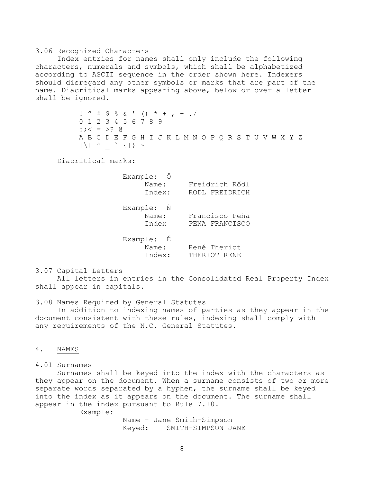#### 3.06 Recognized Characters

 Index entries for names shall only include the following characters, numerals and symbols, which shall be alphabetized according to ASCII sequence in the order shown here. Indexers should disregard any other symbols or marks that are part of the name. Diacritical marks appearing above, below or over a letter shall be ignored.

> ! " # \$ % & ' () \* + , - ./ 0 1 2 3 4 5 6 7 8 9 :;  $\leq$  = >? @ A B C D E F G H I J K L M N O P Q R S T U V W X Y Z [\] ^ \_ ` {|} ~

Diacritical marks:

| Example: Ő |                |
|------------|----------------|
| Name:      | Freidrich Rődl |
| Index:     | RODL FREIDRICH |
| Example: N |                |
| Name:      | Francisco Peña |
| Index      | PENA FRANCISCO |
| Example: É |                |
| Name:      | René Theriot   |
| Index:     | THERIOT RENE   |
|            |                |

#### 3.07 Capital Letters

 All letters in entries in the Consolidated Real Property Index shall appear in capitals.

3.08 Names Required by General Statutes

In addition to indexing names of parties as they appear in the document consistent with these rules, indexing shall comply with any requirements of the N.C. General Statutes.

## 4. NAMES

#### 4.01 Surnames

 Surnames shall be keyed into the index with the characters as they appear on the document. When a surname consists of two or more separate words separated by a hyphen, the surname shall be keyed into the index as it appears on the document. The surname shall appear in the index pursuant to Rule 7.10.

Example:

 Name - Jane Smith-Simpson Keyed: SMITH-SIMPSON JANE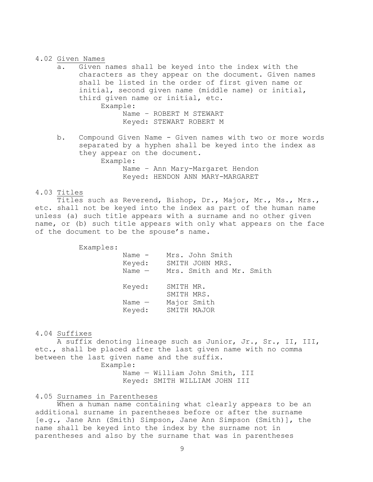#### 4.02 Given Names

- a. Given names shall be keyed into the index with the characters as they appear on the document. Given names shall be listed in the order of first given name or initial, second given name (middle name) or initial, third given name or initial, etc. Example: Name – ROBERT M STEWART Keyed: STEWART ROBERT M
- b. Compound Given Name Given names with two or more words separated by a hyphen shall be keyed into the index as they appear on the document. Example: Name – Ann Mary-Margaret Hendon Keyed: HENDON ANN MARY-MARGARET

#### 4.03 Titles

 Titles such as Reverend, Bishop, Dr., Major, Mr., Ms., Mrs., etc. shall not be keyed into the index as part of the human name unless (a) such title appears with a surname and no other given name, or (b) such title appears with only what appears on the face of the document to be the spouse's name.

Examples:

Name - Mrs. John Smith<br>Keyed: SMITH JOHN MRS.<br>Name - Mrs. Smith and N SMITH JOHN MRS. Mrs. Smith and Mr. Smith Keyed: SMITH MR. SMITH MRS. Name — Major Smith

## 4.04 Suffixes

 A suffix denoting lineage such as Junior, Jr., Sr., II, III, etc., shall be placed after the last given name with no comma between the last given name and the suffix.

Keyed: SMITH MAJOR

Example:

 Name — William John Smith, III Keyed: SMITH WILLIAM JOHN III

#### 4.05 Surnames in Parentheses

 When a human name containing what clearly appears to be an additional surname in parentheses before or after the surname [e.g., Jane Ann (Smith) Simpson, Jane Ann Simpson (Smith)], the name shall be keyed into the index by the surname not in parentheses and also by the surname that was in parentheses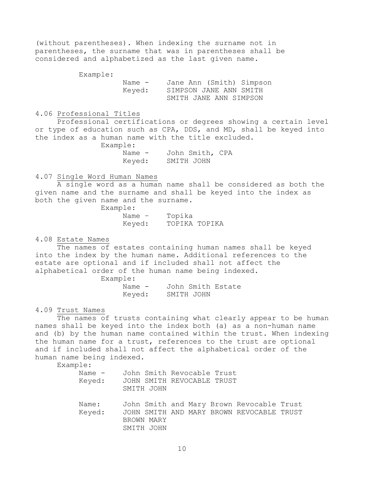(without parentheses). When indexing the surname not in parentheses, the surname that was in parentheses shall be considered and alphabetized as the last given name.

Example:

 Name - Jane Ann (Smith) Simpson Keyed: SIMPSON JANE ANN SMITH SMITH JANE ANN SIMPSON

#### 4.06 Professional Titles

 Professional certifications or degrees showing a certain level or type of education such as CPA, DDS, and MD, shall be keyed into the index as a human name with the title excluded.

Example:

 Name - John Smith, CPA Keyed: SMITH JOHN

## 4.07 Single Word Human Names

 A single word as a human name shall be considered as both the given name and the surname and shall be keyed into the index as both the given name and the surname.

Example:

 Name – Topika Keyed: TOPIKA TOPIKA

4.08 Estate Names

The names of estates containing human names shall be keyed into the index by the human name. Additional references to the estate are optional and if included shall not affect the alphabetical order of the human name being indexed.

Example:

 Name - John Smith Estate Keyed: SMITH JOHN

4.09 Trust Names

The names of trusts containing what clearly appear to be human names shall be keyed into the index both (a) as a non-human name and (b) by the human name contained within the trust. When indexing the human name for a trust, references to the trust are optional and if included shall not affect the alphabetical order of the human name being indexed.

Example:

| Name –<br>Keyed: | John Smith Revocable Trust<br>JOHN SMITH REVOCABLE TRUST<br>SMITH JOHN                                             |
|------------------|--------------------------------------------------------------------------------------------------------------------|
| Name:<br>Keyed:  | John Smith and Mary Brown Revocable Trust<br>JOHN SMITH AND MARY BROWN REVOCABLE TRUST<br>BROWN MARY<br>SMITH JOHN |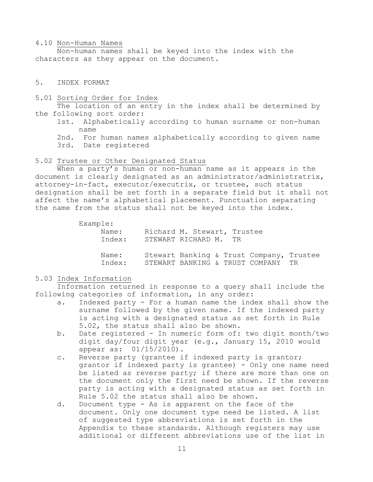#### 4.10 Non-Human Names

 Non-human names shall be keyed into the index with the characters as they appear on the document.

## 5. INDEX FORMAT

5.01 Sorting Order for Index

 The location of an entry in the index shall be determined by the following sort order:

- 1st. Alphabetically according to human surname or non-human name
- 2nd. For human names alphabetically according to given name
- 3rd. Date registered

#### 5.02 Trustee or Other Designated Status

When a party's human or non-human name as it appears in the document is clearly designated as an administrator/administratrix, attorney-in-fact, executor/executrix, or trustee, such status designation shall be set forth in a separate field but it shall not affect the name's alphabetical placement. Punctuation separating the name from the status shall not be keyed into the index.

#### Example:

| Name:  | Richard M. Stewart, Trustee              |
|--------|------------------------------------------|
| Index: | STEWART RICHARD M. TR                    |
|        |                                          |
|        |                                          |
| Name:  | Stewart Banking & Trust Company, Trustee |
| Index: | STEWART BANKING & TRUST COMPANY TR       |
|        |                                          |

## 5.03 Index Information

 Information returned in response to a query shall include the following categories of information, in any order:

- a. Indexed party For a human name the index shall show the surname followed by the given name. If the indexed party is acting with a designated status as set forth in Rule 5.02, the status shall also be shown.
- b. Date registered In numeric form of: two digit month/two digit day/four digit year (e.g., January 15, 2010 would appear as: 01/15/2010).
- c. Reverse party (grantee if indexed party is grantor; grantor if indexed party is grantee) - Only one name need be listed as reverse party; if there are more than one on the document only the first need be shown. If the reverse party is acting with a designated status as set forth in Rule 5.02 the status shall also be shown.
- d. Document type As is apparent on the face of the document. Only one document type need be listed. A list of suggested type abbreviations is set forth in the Appendix to these standards. Although registers may use additional or different abbreviations use of the list in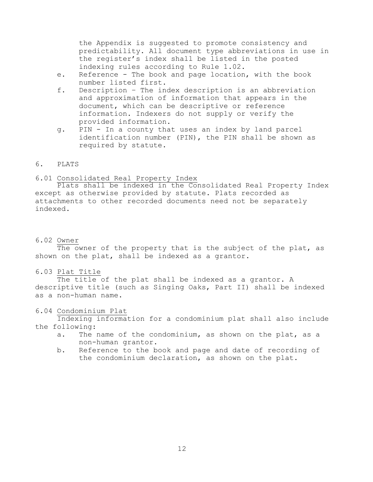the Appendix is suggested to promote consistency and predictability. All document type abbreviations in use in the register's index shall be listed in the posted indexing rules according to Rule 1.02.

- e. Reference The book and page location, with the book number listed first.
- f. Description The index description is an abbreviation and approximation of information that appears in the document, which can be descriptive or reference information. Indexers do not supply or verify the provided information.
- g. PIN In a county that uses an index by land parcel identification number (PIN), the PIN shall be shown as required by statute.

## 6. PLATS

## 6.01 Consolidated Real Property Index

Plats shall be indexed in the Consolidated Real Property Index except as otherwise provided by statute. Plats recorded as attachments to other recorded documents need not be separately indexed.

## 6.02 Owner

The owner of the property that is the subject of the plat, as shown on the plat, shall be indexed as a grantor.

## 6.03 Plat Title

 The title of the plat shall be indexed as a grantor. A descriptive title (such as Singing Oaks, Part II) shall be indexed as a non-human name.

## 6.04 Condominium Plat

 Indexing information for a condominium plat shall also include the following:

- a. The name of the condominium, as shown on the plat, as a non-human grantor.
- b. Reference to the book and page and date of recording of the condominium declaration, as shown on the plat.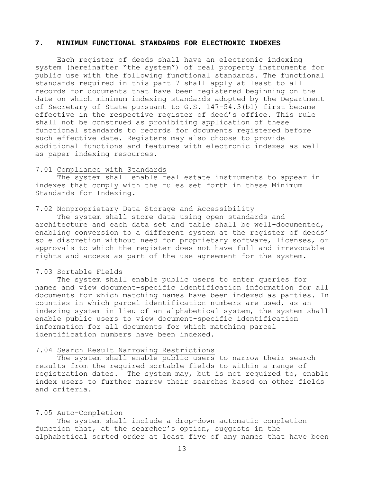#### **7. MINIMUM FUNCTIONAL STANDARDS FOR ELECTRONIC INDEXES**

Each register of deeds shall have an electronic indexing system (hereinafter "the system") of real property instruments for public use with the following functional standards. The functional standards required in this part 7 shall apply at least to all records for documents that have been registered beginning on the date on which minimum indexing standards adopted by the Department of Secretary of State pursuant to G.S. 147-54.3(b1) first became effective in the respective register of deed's office. This rule shall not be construed as prohibiting application of these functional standards to records for documents registered before such effective date. Registers may also choose to provide additional functions and features with electronic indexes as well as paper indexing resources.

#### 7.01 Compliance with Standards

The system shall enable real estate instruments to appear in indexes that comply with the rules set forth in these Minimum Standards for Indexing.

#### 7.02 Nonproprietary Data Storage and Accessibility

The system shall store data using open standards and architecture and each data set and table shall be well-documented, enabling conversion to a different system at the register of deeds' sole discretion without need for proprietary software, licenses, or approvals to which the register does not have full and irrevocable rights and access as part of the use agreement for the system.

#### 7.03 Sortable Fields

The system shall enable public users to enter queries for names and view document-specific identification information for all documents for which matching names have been indexed as parties. In counties in which parcel identification numbers are used, as an indexing system in lieu of an alphabetical system, the system shall enable public users to view document-specific identification information for all documents for which matching parcel identification numbers have been indexed.

## 7.04 Search Result Narrowing Restrictions

The system shall enable public users to narrow their search results from the required sortable fields to within a range of registration dates. The system may, but is not required to, enable index users to further narrow their searches based on other fields and criteria.

#### 7.05 Auto-Completion

The system shall include a drop-down automatic completion function that, at the searcher's option, suggests in the alphabetical sorted order at least five of any names that have been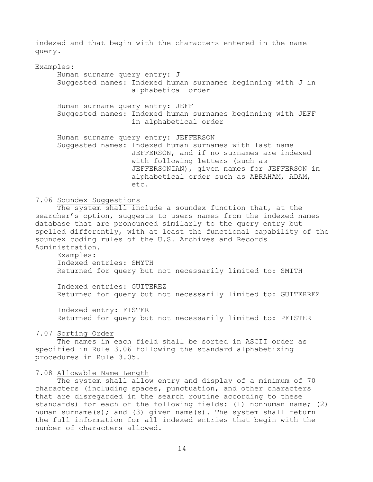indexed and that begin with the characters entered in the name query.

## Examples:

Human surname query entry: J Suggested names: Indexed human surnames beginning with J in alphabetical order Human surname query entry: JEFF Suggested names: Indexed human surnames beginning with JEFF in alphabetical order Human surname query entry: JEFFERSON Suggested names: Indexed human surnames with last name JEFFERSON, and if no surnames are indexed with following letters (such as JEFFERSONIAN), given names for JEFFERSON in alphabetical order such as ABRAHAM, ADAM, etc.

## 7.06 Soundex Suggestions

The system shall include a soundex function that, at the searcher's option, suggests to users names from the indexed names database that are pronounced similarly to the query entry but spelled differently, with at least the functional capability of the soundex coding rules of the U.S. Archives and Records Administration.

Examples: Indexed entries: SMYTH Returned for query but not necessarily limited to: SMITH

Indexed entries: GUITEREZ Returned for query but not necessarily limited to: GUITERREZ

Indexed entry: FISTER Returned for query but not necessarily limited to: PFISTER

#### 7.07 Sorting Order

The names in each field shall be sorted in ASCII order as specified in Rule 3.06 following the standard alphabetizing procedures in Rule 3.05.

#### 7.08 Allowable Name Length

The system shall allow entry and display of a minimum of 70 characters (including spaces, punctuation, and other characters that are disregarded in the search routine according to these standards) for each of the following fields: (1) nonhuman name; (2) human surname(s); and (3) given name(s). The system shall return the full information for all indexed entries that begin with the number of characters allowed.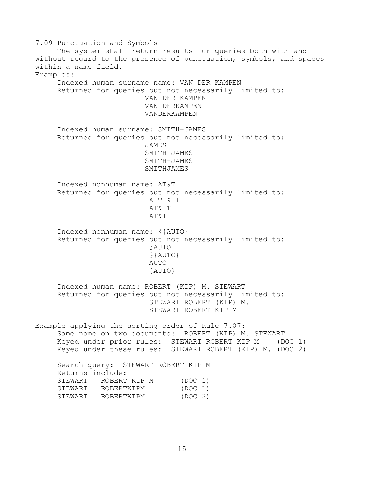7.09 Punctuation and Symbols The system shall return results for queries both with and without regard to the presence of punctuation, symbols, and spaces within a name field. Examples: Indexed human surname name: VAN DER KAMPEN Returned for queries but not necessarily limited to: VAN DER KAMPEN VAN DERKAMPEN VANDERKAMPEN Indexed human surname: SMITH-JAMES Returned for queries but not necessarily limited to: JAMES SMITH JAMES SMITH-JAMES SMITHJAMES Indexed nonhuman name: AT&T Returned for queries but not necessarily limited to: A T & T AT& T AT&T Indexed nonhuman name: @{AUTO} Returned for queries but not necessarily limited to: @AUTO @{AUTO} AUTO {AUTO} Indexed human name: ROBERT (KIP) M. STEWART Returned for queries but not necessarily limited to: STEWART ROBERT (KIP) M. STEWART ROBERT KIP M Example applying the sorting order of Rule 7.07: Same name on two documents: ROBERT (KIP) M. STEWART Keyed under prior rules: STEWART ROBERT KIP M (DOC 1) Keyed under these rules: STEWART ROBERT (KIP) M. (DOC 2) Search query: STEWART ROBERT KIP M Returns include: STEWART ROBERT KIP M (DOC 1)<br>STEWART ROBERTKIPM (DOC 1) STEWART ROBERTKIPM STEWART ROBERTKIPM (DOC 2)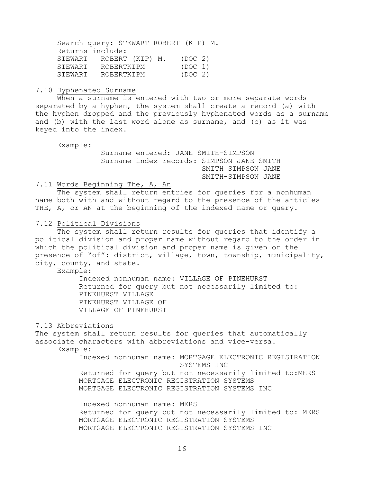Search query: STEWART ROBERT (KIP) M. Returns include: STEWART ROBERT (KIP) M. (DOC 2) SIEWART ROBERTKIPM (DOC 1)<br>STEWART ROBERTKIPM (DOC 2) STEWART ROBERTKIPM

#### 7.10 Hyphenated Surname

 When a surname is entered with two or more separate words separated by a hyphen, the system shall create a record (a) with the hyphen dropped and the previously hyphenated words as a surname and (b) with the last word alone as surname, and (c) as it was keyed into the index.

Example:

 Surname entered: JANE SMITH-SIMPSON Surname index records: SIMPSON JANE SMITH SMITH SIMPSON JANE SMITH-SIMPSON JANE

## 7.11 Words Beginning The, A, An

The system shall return entries for queries for a nonhuman name both with and without regard to the presence of the articles THE, A, or AN at the beginning of the indexed name or query.

#### 7.12 Political Divisions

The system shall return results for queries that identify a political division and proper name without regard to the order in which the political division and proper name is given or the presence of "of": district, village, town, township, municipality, city, county, and state.

## Example:

Indexed nonhuman name: VILLAGE OF PINEHURST Returned for query but not necessarily limited to: PINEHURST VILLAGE PINEHURST VILLAGE OF VILLAGE OF PINEHURST

## 7.13 Abbreviations

The system shall return results for queries that automatically associate characters with abbreviations and vice-versa.

Example:

Indexed nonhuman name: MORTGAGE ELECTRONIC REGISTRATION SYSTEMS INC Returned for query but not necessarily limited to:MERS MORTGAGE ELECTRONIC REGISTRATION SYSTEMS MORTGAGE ELECTRONIC REGISTRATION SYSTEMS INC

Indexed nonhuman name: MERS Returned for query but not necessarily limited to: MERS MORTGAGE ELECTRONIC REGISTRATION SYSTEMS MORTGAGE ELECTRONIC REGISTRATION SYSTEMS INC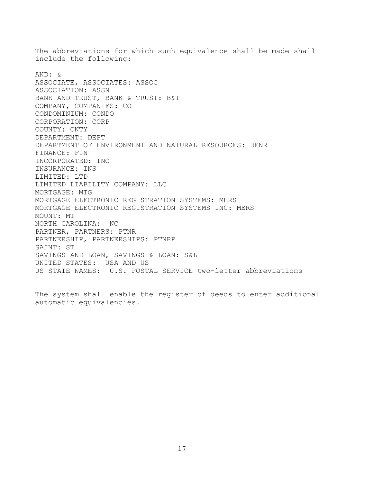The abbreviations for which such equivalence shall be made shall include the following: AND: & ASSOCIATE, ASSOCIATES: ASSOC ASSOCIATION: ASSN BANK AND TRUST, BANK & TRUST: B&T COMPANY, COMPANIES: CO CONDOMINIUM: CONDO CORPORATION: CORP COUNTY: CNTY DEPARTMENT: DEPT DEPARTMENT OF ENVIRONMENT AND NATURAL RESOURCES: DENR FINANCE: FIN INCORPORATED: INC INSURANCE: INS LIMITED: LTD LIMITED LIABILITY COMPANY: LLC MORTGAGE: MTG MORTGAGE ELECTRONIC REGISTRATION SYSTEMS: MERS MORTGAGE ELECTRONIC REGISTRATION SYSTEMS INC: MERS MOUNT: MT NORTH CAROLINA: NC PARTNER, PARTNERS: PTNR PARTNERSHIP, PARTNERSHIPS: PTNRP SAINT: ST SAVINGS AND LOAN, SAVINGS & LOAN: S&L UNITED STATES: USA AND US US STATE NAMES: U.S. POSTAL SERVICE two-letter abbreviations

The system shall enable the register of deeds to enter additional automatic equivalencies.